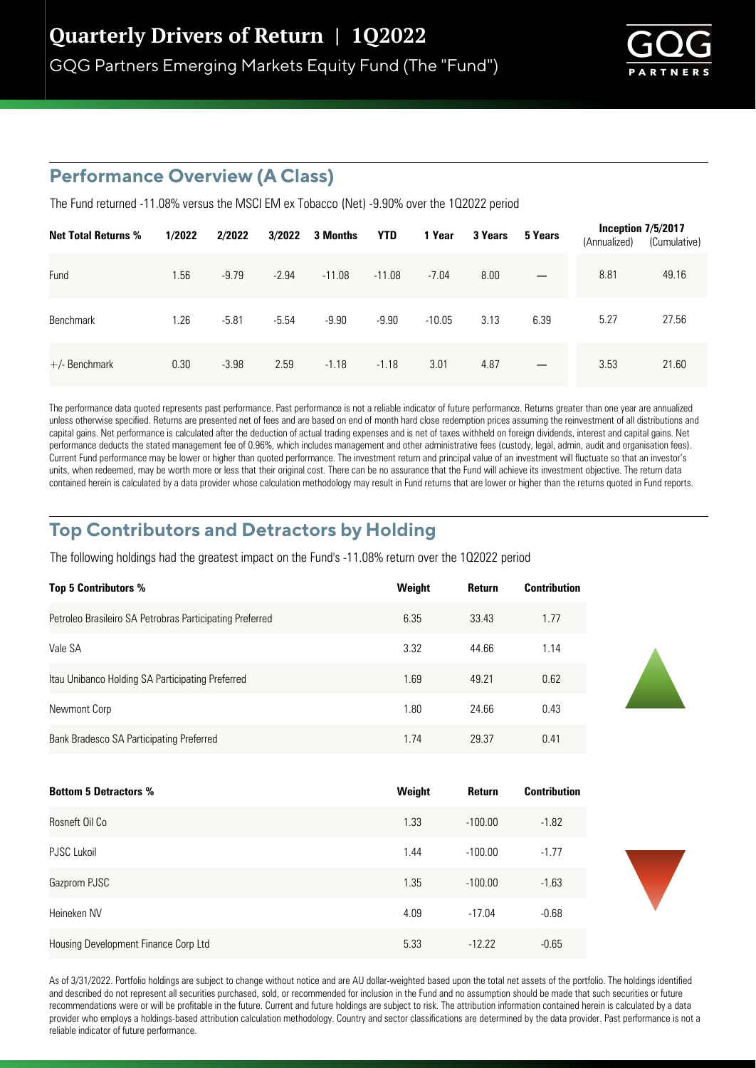

# **Performance Overview (A Class)**

The Fund returned -11.08% versus the MSCI EM ex Tobacco (Net) -9.90% over the 1Q2022 period

| <b>Net Total Returns %</b> | 1/2022 | 2/2022  | 3/2022  | 3 Months | <b>YTD</b> | 1 Year   | 3 Years | 5 Years                  | (Annualized) | Inception $7/5/2017$<br>(Cumulative) |
|----------------------------|--------|---------|---------|----------|------------|----------|---------|--------------------------|--------------|--------------------------------------|
| Fund                       | 1.56   | $-9.79$ | $-2.94$ | $-11.08$ | $-11.08$   | $-7.04$  | 8.00    |                          | 8.81         | 49.16                                |
| Benchmark                  | 1.26   | $-5.81$ | $-5.54$ | $-9.90$  | $-9.90$    | $-10.05$ | 3.13    | 6.39                     | 5.27         | 27.56                                |
| $+/-$ Benchmark            | 0.30   | $-3.98$ | 2.59    | $-1.18$  | $-1.18$    | 3.01     | 4.87    | $\overline{\phantom{m}}$ | 3.53         | 21.60                                |

The performance data quoted represents past performance. Past performance is not a reliable indicator of future performance. Returns greater than one year are annualized unless otherwise specified. Returns are presented net of fees and are based on end of month hard close redemption prices assuming the reinvestment of all distributions and capital gains. Net performance is calculated after the deduction of actual trading expenses and is net of taxes withheld on foreign dividends, interest and capital gains. Net performance deducts the stated management fee of 0.96%, which includes management and other administrative fees (custody, legal, admin, audit and organisation fees). Current Fund performance may be lower or higher than quoted performance. The investment return and principal value of an investment will fluctuate so that an investor's units, when redeemed, may be worth more or less that their original cost. There can be no assurance that the Fund will achieve its investment objective. The return data contained herein is calculated by a data provider whose calculation methodology may result in Fund returns that are lower or higher than the returns quoted in Fund reports.

### **Top Contributors and Detractors by Holding**

The following holdings had the greatest impact on the Fund's -11.08% return over the 1Q2022 period

| <b>Top 5 Contributors %</b>                              | Weight | <b>Return</b> | <b>Contribution</b> |
|----------------------------------------------------------|--------|---------------|---------------------|
| Petroleo Brasileiro SA Petrobras Participating Preferred | 6.35   | 33.43         | 1.77                |
| Vale SA                                                  | 3.32   | 44.66         | 1.14                |
| Itau Unibanco Holding SA Participating Preferred         | 1.69   | 49.21         | 0.62                |
| Newmont Corp                                             | 1.80   | 24.66         | 0.43                |
| Bank Bradesco SA Participating Preferred                 | 1.74   | 29.37         | 0.41                |

| <b>Bottom 5 Detractors %</b>         | Weight | Return    | <b>Contribution</b> |
|--------------------------------------|--------|-----------|---------------------|
| Rosneft Oil Co                       | 1.33   | $-100.00$ | $-1.82$             |
| PJSC Lukoil                          | 1.44   | $-100.00$ | $-1.77$             |
| Gazprom PJSC                         | 1.35   | $-100.00$ | $-1.63$             |
| Heineken NV                          | 4.09   | $-17.04$  | $-0.68$             |
| Housing Development Finance Corp Ltd | 5.33   | $-12.22$  | $-0.65$             |



As of 3/31/2022. Portfolio holdings are subject to change without notice and are AU dollar-weighted based upon the total net assets of the portfolio. The holdings identified and described do not represent all securities purchased, sold, or recommended for inclusion in the Fund and no assumption should be made that such securities or future recommendations were or will be profitable in the future. Current and future holdings are subject to risk. The attribution information contained herein is calculated by a data provider who employs a holdings-based attribution calculation methodology. Country and sector classifications are determined by the data provider. Past performance is not a reliable indicator of future performance.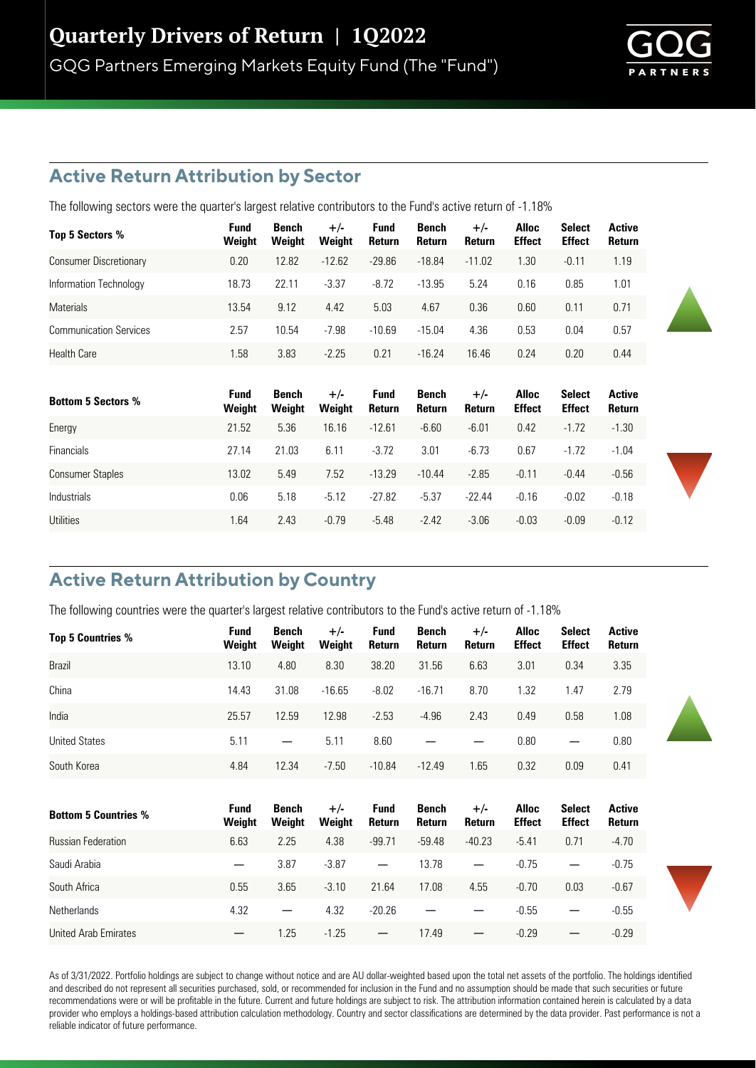

### **Active Return Attribution by Sector**

The following sectors were the quarter's largest relative contributors to the Fund's active return of -1.18%

| Top 5 Sectors %               | Fund<br>Weight | Bench<br>Weight | $+/-$<br>Weight | <b>Fund</b><br>Return | Bench<br><b>Return</b> | $+/-$<br><b>Return</b> | <b>Alloc</b><br><b>Effect</b> | <b>Select</b><br><b>Effect</b> | <b>Active</b><br><b>Return</b> |
|-------------------------------|----------------|-----------------|-----------------|-----------------------|------------------------|------------------------|-------------------------------|--------------------------------|--------------------------------|
| <b>Consumer Discretionary</b> | 0.20           | 12.82           | $-12.62$        | $-29.86$              | $-18.84$               | $-11.02$               | 1.30                          | $-0.11$                        | 1.19                           |
| Information Technology        | 18.73          | 22.11           | $-3.37$         | $-8.72$               | $-13.95$               | 5.24                   | 0.16                          | 0.85                           | 1.01                           |
| <b>Materials</b>              | 13.54          | 9.12            | 4.42            | 5.03                  | 4.67                   | 0.36                   | 0.60                          | 0.11                           | 0.71                           |
| <b>Communication Services</b> | 2.57           | 10.54           | $-7.98$         | $-10.69$              | $-15.04$               | 4.36                   | 0.53                          | 0.04                           | 0.57                           |
| <b>Health Care</b>            | 1.58           | 3.83            | $-2.25$         | 0.21                  | $-16.24$               | 16.46                  | 0.24                          | 0.20                           | 0.44                           |

| <b>Bottom 5 Sectors %</b> | <b>Fund</b><br>Weight | Bench<br>Weight | $+/-$<br>Weight | <b>Fund</b><br>Return | Bench<br>Return | $+/-$<br>Return | <b>Alloc</b><br><b>Effect</b> | <b>Select</b><br><b>Effect</b> | Active<br>Return |
|---------------------------|-----------------------|-----------------|-----------------|-----------------------|-----------------|-----------------|-------------------------------|--------------------------------|------------------|
| Energy                    | 21.52                 | 5.36            | 16.16           | $-12.61$              | $-6.60$         | $-6.01$         | 0.42                          | $-1.72$                        | $-1.30$          |
| <b>Financials</b>         | 27.14                 | 21.03           | 6.11            | $-3.72$               | 3.01            | $-6.73$         | 0.67                          | $-1.72$                        | $-1.04$          |
| <b>Consumer Staples</b>   | 13.02                 | 5.49            | 7.52            | $-13.29$              | $-10.44$        | $-2.85$         | $-0.11$                       | $-0.44$                        | $-0.56$          |
| <b>Industrials</b>        | 0.06                  | 5.18            | $-5.12$         | $-27.82$              | $-5.37$         | $-22.44$        | $-0.16$                       | $-0.02$                        | $-0.18$          |
| Utilities                 | 1.64                  | 2.43            | $-0.79$         | $-5.48$               | $-2.42$         | $-3.06$         | $-0.03$                       | $-0.09$                        | $-0.12$          |

# **Active Return Attribution by Country**

The following countries were the quarter's largest relative contributors to the Fund's active return of -1.18%

| Top 5 Countries %           | <b>Fund</b><br>Weight | Bench<br>Weight | $+/-$<br>Weight | <b>Fund</b><br>Return           | <b>Bench</b><br>Return | $+/-$<br>Return | <b>Alloc</b><br><b>Effect</b> | Select<br><b>Effect</b> | Active<br>Return |
|-----------------------------|-----------------------|-----------------|-----------------|---------------------------------|------------------------|-----------------|-------------------------------|-------------------------|------------------|
| Brazil                      | 13.10                 | 4.80            | 8.30            | 38.20                           | 31.56                  | 6.63            | 3.01                          | 0.34                    | 3.35             |
| China                       | 14.43                 | 31.08           | $-16.65$        | $-8.02$                         | $-16.71$               | 8.70            | 1.32                          | 1.47                    | 2.79             |
| India                       | 25.57                 | 12.59           | 12.98           | $-2.53$                         | $-4.96$                | 2.43            | 0.49                          | 0.58                    | 1.08             |
| <b>United States</b>        | 5.11                  |                 | 5.11            | 8.60                            |                        |                 | 0.80                          |                         | 0.80             |
| South Korea                 | 4.84                  | 12.34           | $-7.50$         | $-10.84$                        | $-12.49$               | 1.65            | 0.32                          | 0.09                    | 0.41             |
|                             | <b>Fund</b>           | <b>Bench</b>    | $+/-$           | <b>Fund</b>                     | <b>Bench</b>           | $+/-$           | <b>Alloc</b>                  | <b>Select</b>           | <b>Active</b>    |
| <b>Bottom 5 Countries %</b> | Weight                | Weight          | Weight          | Return                          | Return                 | <b>Return</b>   | <b>Effect</b>                 | <b>Effect</b>           | Return           |
| <b>Russian Federation</b>   | 6.63                  | 2.25            | 4.38            | $-99.71$                        | $-59.48$               | $-40.23$        | $-5.41$                       | 0.71                    | $-4.70$          |
| Saudi Arabia                |                       | 3.87            | $-3.87$         |                                 | 13.78                  |                 | $-0.75$                       |                         | $-0.75$          |
| South Africa                | 0.55                  | 3.65            | $-3.10$         | 21.64                           | 17.08                  | 4.55            | $-0.70$                       | 0.03                    | $-0.67$          |
| <b>Netherlands</b>          | 4.32                  |                 | 4.32            | $-20.26$                        |                        |                 | $-0.55$                       |                         | $-0.55$          |
| United Arab Emirates        |                       | 1.25            | $-1.25$         | $\hspace{0.1mm}-\hspace{0.1mm}$ | 17.49                  |                 | $-0.29$                       |                         | $-0.29$          |

As of 3/31/2022. Portfolio holdings are subject to change without notice and are AU dollar-weighted based upon the total net assets of the portfolio. The holdings identified and described do not represent all securities purchased, sold, or recommended for inclusion in the Fund and no assumption should be made that such securities or future recommendations were or will be profitable in the future. Current and future holdings are subject to risk. The attribution information contained herein is calculated by a data provider who employs a holdings-based attribution calculation methodology. Country and sector classifications are determined by the data provider. Past performance is not a reliable indicator of future performance.